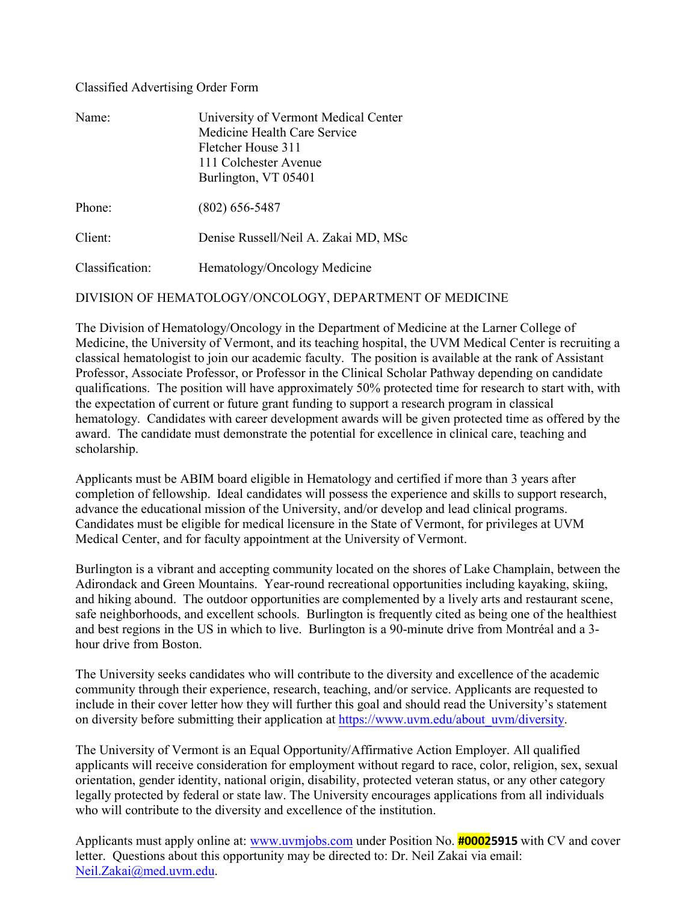# Classified Advertising Order Form

| Name:           | University of Vermont Medical Center<br>Medicine Health Care Service<br>Fletcher House 311<br>111 Colchester Avenue<br>Burlington, VT 05401 |
|-----------------|---------------------------------------------------------------------------------------------------------------------------------------------|
| Phone:          | $(802)$ 656-5487                                                                                                                            |
| Client:         | Denise Russell/Neil A. Zakai MD, MSc                                                                                                        |
| Classification: | Hematology/Oncology Medicine                                                                                                                |

DIVISION OF HEMATOLOGY/ONCOLOGY, DEPARTMENT OF MEDICINE

The Division of Hematology/Oncology in the Department of Medicine at the Larner College of Medicine, the University of Vermont, and its teaching hospital, the UVM Medical Center is recruiting a classical hematologist to join our academic faculty. The position is available at the rank of Assistant Professor, Associate Professor, or Professor in the Clinical Scholar Pathway depending on candidate qualifications. The position will have approximately 50% protected time for research to start with, with the expectation of current or future grant funding to support a research program in classical hematology. Candidates with career development awards will be given protected time as offered by the award. The candidate must demonstrate the potential for excellence in clinical care, teaching and scholarship.

Applicants must be ABIM board eligible in Hematology and certified if more than 3 years after completion of fellowship. Ideal candidates will possess the experience and skills to support research, advance the educational mission of the University, and/or develop and lead clinical programs. Candidates must be eligible for medical licensure in the State of Vermont, for privileges at UVM Medical Center, and for faculty appointment at the University of Vermont.

Burlington is a vibrant and accepting community located on the shores of Lake Champlain, between the Adirondack and Green Mountains. Year-round recreational opportunities including kayaking, skiing, and hiking abound. The outdoor opportunities are complemented by a lively arts and restaurant scene, safe neighborhoods, and excellent schools. Burlington is frequently cited as being one of the healthiest and best regions in the US in which to live. Burlington is a 90-minute drive from Montréal and a 3 hour drive from Boston.

The University seeks candidates who will contribute to the diversity and excellence of the academic community through their experience, research, teaching, and/or service. Applicants are requested to include in their cover letter how they will further this goal and should read the University's statement on diversity before submitting their application at [https://www.uvm.edu/about\\_uvm/diversity.](https://www.uvm.edu/about_uvm/diversity)

The University of Vermont is an Equal Opportunity/Affirmative Action Employer. All qualified applicants will receive consideration for employment without regard to race, color, religion, sex, sexual orientation, gender identity, national origin, disability, protected veteran status, or any other category legally protected by federal or state law. The University encourages applications from all individuals who will contribute to the diversity and excellence of the institution.

Applicants must apply online at: [www.uvmjobs.com](http://www.uvmjobs.com/) under Position No. **#00025915** with CV and cover letter. Questions about this opportunity may be directed to: Dr. Neil Zakai via email: [Neil.Zakai@med.uvm.edu.](mailto:Neil.Zakai@med.uvm.edu)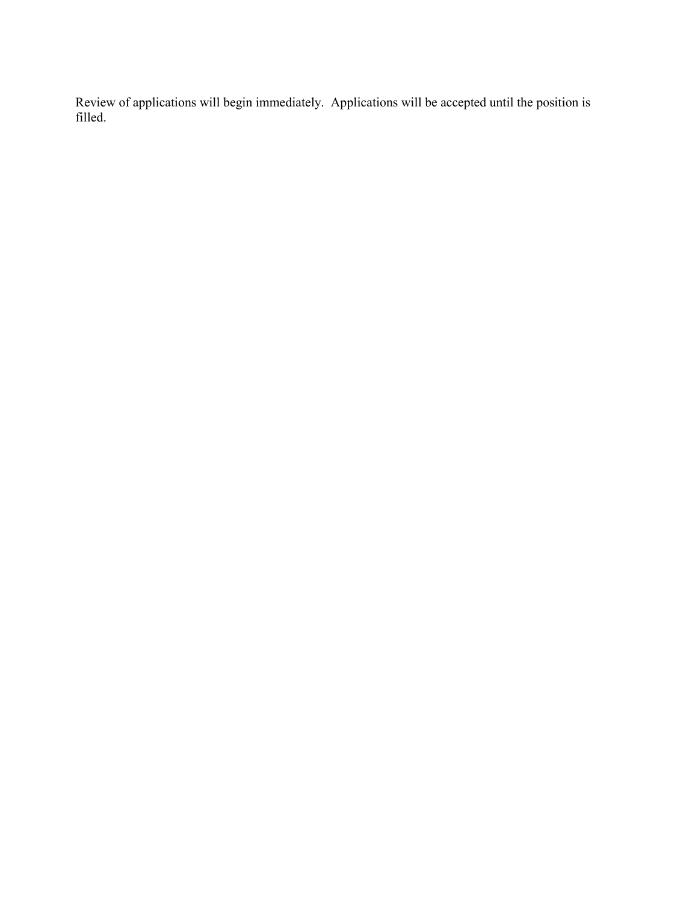Review of applications will begin immediately. Applications will be accepted until the position is filled.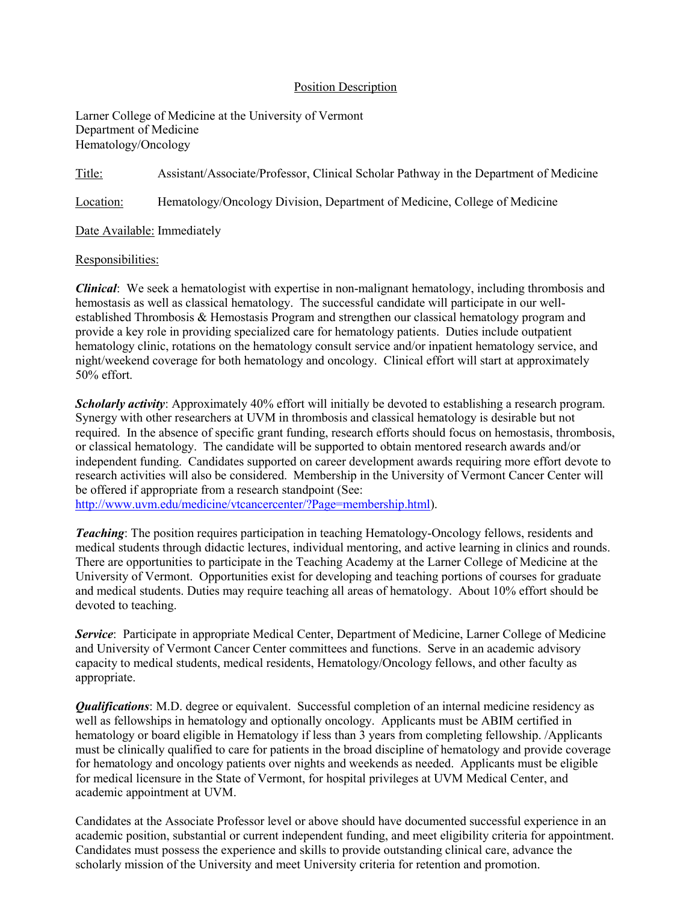### Position Description

Larner College of Medicine at the University of Vermont Department of Medicine Hematology/Oncology

Title: Assistant/Associate/Professor, Clinical Scholar Pathway in the Department of Medicine

Location: Hematology/Oncology Division, Department of Medicine, College of Medicine

Date Available: Immediately

#### Responsibilities:

*Clinical*: We seek a hematologist with expertise in non-malignant hematology, including thrombosis and hemostasis as well as classical hematology. The successful candidate will participate in our wellestablished Thrombosis & Hemostasis Program and strengthen our classical hematology program and provide a key role in providing specialized care for hematology patients. Duties include outpatient hematology clinic, rotations on the hematology consult service and/or inpatient hematology service, and night/weekend coverage for both hematology and oncology. Clinical effort will start at approximately 50% effort.

*Scholarly activity*: Approximately 40% effort will initially be devoted to establishing a research program. Synergy with other researchers at UVM in thrombosis and classical hematology is desirable but not required. In the absence of specific grant funding, research efforts should focus on hemostasis, thrombosis, or classical hematology. The candidate will be supported to obtain mentored research awards and/or independent funding. Candidates supported on career development awards requiring more effort devote to research activities will also be considered. Membership in the University of Vermont Cancer Center will be offered if appropriate from a research standpoint (See:

[http://www.uvm.edu/medicine/vtcancercenter/?Page=membership.html\)](http://www.uvm.edu/medicine/vtcancercenter/?Page=membership.html).

*Teaching*: The position requires participation in teaching Hematology-Oncology fellows, residents and medical students through didactic lectures, individual mentoring, and active learning in clinics and rounds. There are opportunities to participate in the Teaching Academy at the Larner College of Medicine at the University of Vermont. Opportunities exist for developing and teaching portions of courses for graduate and medical students. Duties may require teaching all areas of hematology. About 10% effort should be devoted to teaching.

*Service*: Participate in appropriate Medical Center, Department of Medicine, Larner College of Medicine and University of Vermont Cancer Center committees and functions. Serve in an academic advisory capacity to medical students, medical residents, Hematology/Oncology fellows, and other faculty as appropriate.

*Qualifications*: M.D. degree or equivalent. Successful completion of an internal medicine residency as well as fellowships in hematology and optionally oncology. Applicants must be ABIM certified in hematology or board eligible in Hematology if less than 3 years from completing fellowship. /Applicants must be clinically qualified to care for patients in the broad discipline of hematology and provide coverage for hematology and oncology patients over nights and weekends as needed. Applicants must be eligible for medical licensure in the State of Vermont, for hospital privileges at UVM Medical Center, and academic appointment at UVM.

Candidates at the Associate Professor level or above should have documented successful experience in an academic position, substantial or current independent funding, and meet eligibility criteria for appointment. Candidates must possess the experience and skills to provide outstanding clinical care, advance the scholarly mission of the University and meet University criteria for retention and promotion.